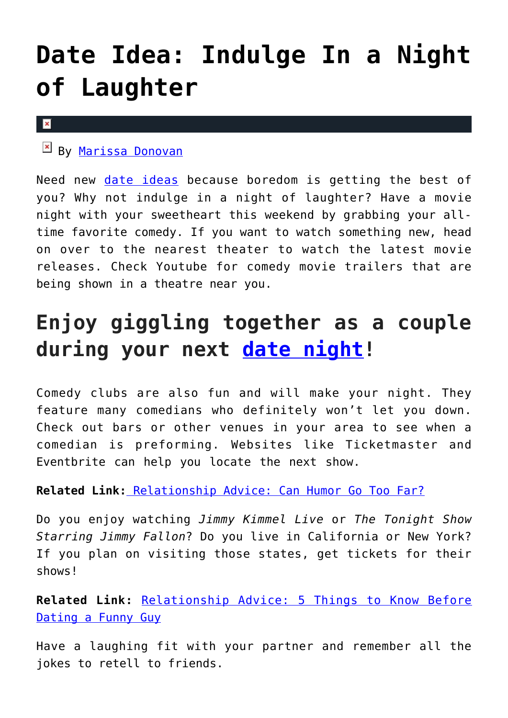## **[Date Idea: Indulge In a Night](https://cupidspulse.com/119019/date-idea-night-of-laughter/) [of Laughter](https://cupidspulse.com/119019/date-idea-night-of-laughter/)**

## $\pmb{\times}$

 $\mathbb{E}$  By [Marissa Donovan](http://cupidspulse.com/118743/marissa-donovan/)

Need new [date ideas](http://cupidspulse.com/love/weekend-date-ideas/) because boredom is getting the best of you? Why not indulge in a night of laughter? Have a movie night with your sweetheart this weekend by grabbing your alltime favorite comedy. If you want to watch something new, head on over to the nearest theater to watch the latest movie releases. Check Youtube for comedy movie trailers that are being shown in a theatre near you.

## **Enjoy giggling together as a couple during your next [date night!](http://cupidspulse.com/love/weekend-date-ideas/)**

Comedy clubs are also fun and will make your night. They feature many comedians who definitely won't let you down. Check out bars or other venues in your area to see when a comedian is preforming. Websites like Ticketmaster and Eventbrite can help you locate the next show.

**Related Link[:](http://cupidspulse.com/118032/relationship-advise-can-humor-go-too-far/)** [Relationship Advice: Can Humor Go Too Far?](http://cupidspulse.com/118032/relationship-advise-can-humor-go-too-far/)

Do you enjoy watching *Jimmy Kimmel Live* or *The Tonight Show Starring Jimmy Fallon*? Do you live in California or New York? If you plan on visiting those states, get tickets for their shows!

**Related Link:** [Relationship Advice: 5 Things to Know Before](http://cupidspulse.com/114961/relationship-advice-dating-funny-guys/) [Dating a Funny Guy](http://cupidspulse.com/114961/relationship-advice-dating-funny-guys/)

Have a laughing fit with your partner and remember all the jokes to retell to friends.